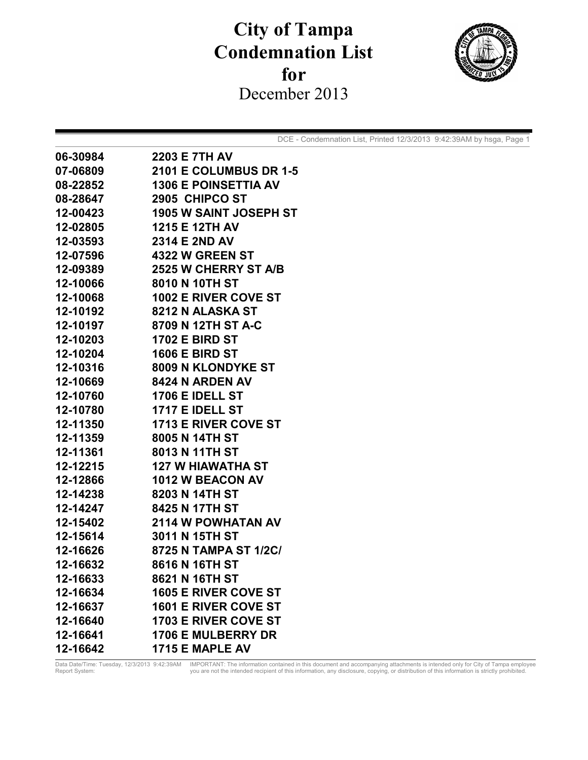## **City of Tampa Condemnation List**  for December 2013



DCE - Condemnation List, Printed 12/3/2013 9:42:39AM by hsga, Page 1

| 06-30984 | <b>2203 E 7TH AV</b>          |
|----------|-------------------------------|
| 07-06809 | <b>2101 E COLUMBUS DR 1-5</b> |
| 08-22852 | <b>1306 E POINSETTIA AV</b>   |
| 08-28647 | 2905 CHIPCO ST                |
| 12-00423 | <b>1905 W SAINT JOSEPH ST</b> |
| 12-02805 | 1215 E 12TH AV                |
| 12-03593 | 2314 E 2ND AV                 |
| 12-07596 | <b>4322 W GREEN ST</b>        |
| 12-09389 | 2525 W CHERRY ST A/B          |
| 12-10066 | 8010 N 10TH ST                |
| 12-10068 | <b>1002 E RIVER COVE ST</b>   |
| 12-10192 | 8212 N ALASKA ST              |
| 12-10197 | 8709 N 12TH ST A-C            |
| 12-10203 | <b>1702 E BIRD ST</b>         |
| 12-10204 | <b>1606 E BIRD ST</b>         |
| 12-10316 | 8009 N KLONDYKE ST            |
| 12-10669 | <b>8424 N ARDEN AV</b>        |
| 12-10760 | <b>1706 E IDELL ST</b>        |
| 12-10780 | <b>1717 E IDELL ST</b>        |
| 12-11350 | <b>1713 E RIVER COVE ST</b>   |
| 12-11359 | 8005 N 14TH ST                |
| 12-11361 | 8013 N 11TH ST                |
| 12-12215 | <b>127 W HIAWATHA ST</b>      |
| 12-12866 | <b>1012 W BEACON AV</b>       |
| 12-14238 | 8203 N 14TH ST                |
| 12-14247 | 8425 N 17TH ST                |
| 12-15402 | <b>2114 W POWHATAN AV</b>     |
| 12-15614 | 3011 N 15TH ST                |
| 12-16626 | 8725 N TAMPA ST 1/2C/         |
| 12-16632 | 8616 N 16TH ST                |
| 12-16633 | 8621 N 16TH ST                |
| 12-16634 | <b>1605 E RIVER COVE ST</b>   |
| 12-16637 | <b>1601 E RIVER COVE ST</b>   |
| 12-16640 | <b>1703 E RIVER COVE ST</b>   |
| 12-16641 | <b>1706 E MULBERRY DR</b>     |
| 12-16642 | 1715 E MAPLE AV               |

Data Date/Time: Tuesday, 12/3/2013 9:42:39AM IMPORTANT: The information contained in this document and accompanying attachments is intended only for City of Tampa employee<br>Report System: you are not the intended recipient Data Date/Time: Tuesday, 12/3/2013 9:42:39AM<br>Report System: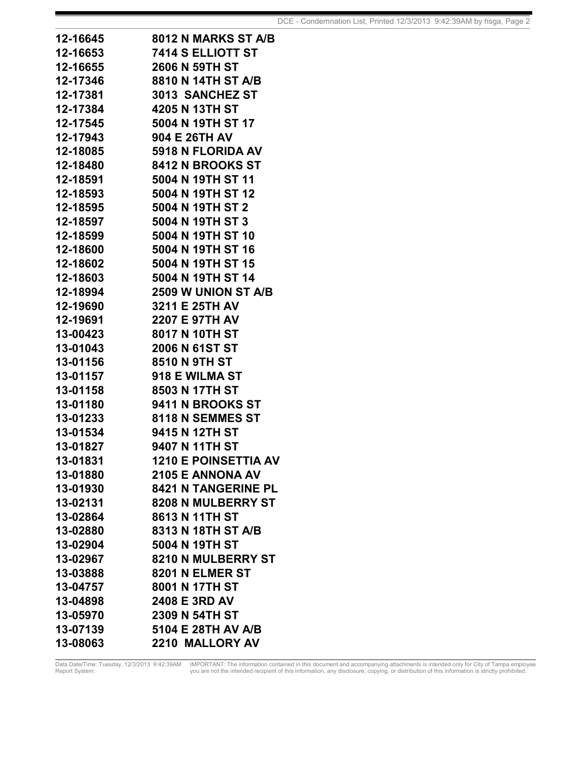| 12-16645 | 8012 N MARKS ST A/B         |
|----------|-----------------------------|
| 12-16653 | 7414 S ELLIOTT ST           |
| 12-16655 | <b>2606 N 59TH ST</b>       |
| 12-17346 | 8810 N 14TH ST A/B          |
| 12-17381 | 3013 SANCHEZ ST             |
| 12-17384 | 4205 N 13TH ST              |
| 12-17545 | 5004 N 19TH ST 17           |
| 12-17943 | 904 E 26TH AV               |
| 12-18085 | 5918 N FLORIDA AV           |
| 12-18480 | 8412 N BROOKS ST            |
| 12-18591 | 5004 N 19TH ST 11           |
| 12-18593 | 5004 N 19TH ST 12           |
| 12-18595 | 5004 N 19TH ST 2            |
| 12-18597 | 5004 N 19TH ST 3            |
| 12-18599 | 5004 N 19TH ST 10           |
| 12-18600 | 5004 N 19TH ST 16           |
| 12-18602 | 5004 N 19TH ST 15           |
| 12-18603 | 5004 N 19TH ST 14           |
| 12-18994 | 2509 W UNION ST A/B         |
| 12-19690 | 3211 E 25TH AV              |
| 12-19691 | 2207 E 97TH AV              |
| 13-00423 | 8017 N 10TH ST              |
| 13-01043 | 2006 N 61ST ST              |
| 13-01156 | <b>8510 N 9TH ST</b>        |
| 13-01157 | 918 E WILMA ST              |
| 13-01158 | 8503 N 17TH ST              |
| 13-01180 | 9411 N BROOKS ST            |
| 13-01233 | 8118 N SEMMES ST            |
| 13-01534 | 9415 N 12TH ST              |
| 13-01827 | 9407 N 11TH ST              |
| 13-01831 | <b>1210 E POINSETTIA AV</b> |
| 13-01880 | 2105 E ANNONA AV            |
| 13-01930 | <b>8421 N TANGERINE PL</b>  |
| 13-02131 | 8208 N MULBERRY ST          |
| 13-02864 | 8613 N 11TH ST              |
| 13-02880 | 8313 N 18TH ST A/B          |
| 13-02904 | 5004 N 19TH ST              |
| 13-02967 | 8210 N MULBERRY ST          |
| 13-03888 | 8201 N ELMER ST             |
| 13-04757 | 8001 N 17TH ST              |
| 13-04898 | 2408 E 3RD AV               |
| 13-05970 | 2309 N 54TH ST              |
| 13-07139 | 5104 E 28TH AV A/B          |
| 13-08063 | 2210 MALLORY AV             |

Data Date/Time: Tuesday, 12/3/2013 9:42:39AM IMPORTANT: The information contained in this document and accompanying attachments is intended only for City of Tampa employee<br>Report System: you are not the intended recipient Data Date/Time: Tuesday, 12/3/2013 9:42:39AM<br>Report System: